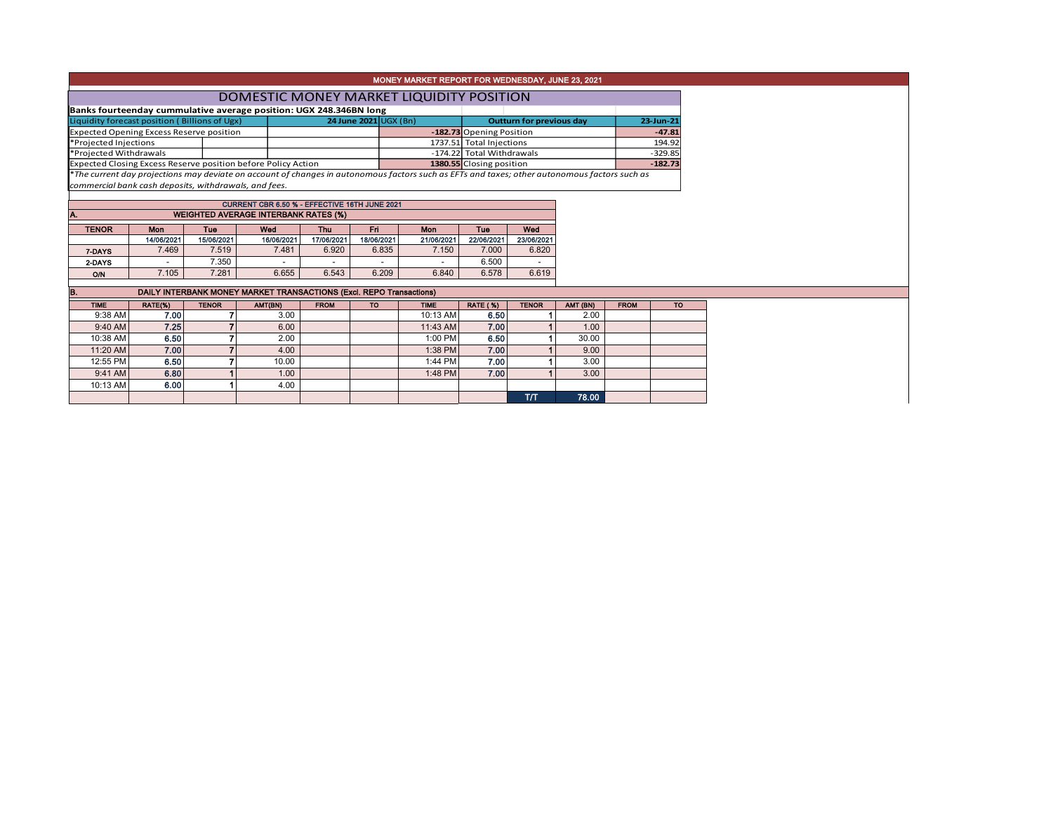|                                                                                                                                               |                                 |                          | MONEY MARKET REPORT FOR WEDNESDAY, JUNE 23, 2021 |           |  |  |  |  |  |  |  |
|-----------------------------------------------------------------------------------------------------------------------------------------------|---------------------------------|--------------------------|--------------------------------------------------|-----------|--|--|--|--|--|--|--|
| DOMESTIC MONEY MARKET LIQUIDITY POSITION                                                                                                      |                                 |                          |                                                  |           |  |  |  |  |  |  |  |
| Banks fourteenday cummulative average position: UGX 248.346BN long                                                                            |                                 |                          |                                                  |           |  |  |  |  |  |  |  |
| Liquidity forecast position (Billions of Ugx)                                                                                                 | <b>Outturn for previous day</b> | 23-Jun-21                |                                                  |           |  |  |  |  |  |  |  |
| <b>Expected Opening Excess Reserve position</b>                                                                                               |                                 |                          | -182.73 Opening Position                         | $-47.81$  |  |  |  |  |  |  |  |
| *Projected Injections                                                                                                                         |                                 |                          | 1737.51 Total Injections                         | 194.92    |  |  |  |  |  |  |  |
| *Projected Withdrawals                                                                                                                        |                                 |                          | -174.22 Total Withdrawals                        | $-329.85$ |  |  |  |  |  |  |  |
| Expected Closing Excess Reserve position before Policy Action                                                                                 |                                 | 1380.55 Closing position | $-182.73$                                        |           |  |  |  |  |  |  |  |
| *The current day projections may deviate on account of changes in autonomous factors such as EFTs and taxes; other autonomous factors such as |                                 |                          |                                                  |           |  |  |  |  |  |  |  |

*commercial bank cash deposits, withdrawals, and fees.*

| CURRENT CBR 6.50 % - EFFECTIVE 16TH JUNE 2021<br><b>WEIGHTED AVERAGE INTERBANK RATES (%)</b><br>IA. |            |            |            |            |            |            |            |            |  |  |  |  |  |
|-----------------------------------------------------------------------------------------------------|------------|------------|------------|------------|------------|------------|------------|------------|--|--|--|--|--|
| Wed<br><b>TENOR</b><br>Wed<br>Fri<br>Mon<br><b>Mon</b><br>Tue<br>Tue<br>Thu                         |            |            |            |            |            |            |            |            |  |  |  |  |  |
|                                                                                                     | 14/06/2021 | 15/06/2021 | 16/06/2021 | 17/06/2021 | 18/06/2021 | 21/06/2021 | 22/06/2021 | 23/06/2021 |  |  |  |  |  |
| 7-DAYS                                                                                              | 7.469      | 7.519      | 7.481      | 6.920      | 6.835      | 7.150      | 7.000      | 6.820      |  |  |  |  |  |
| 2-DAYS                                                                                              |            | 7.350      |            |            |            |            | 6.500      |            |  |  |  |  |  |
| <b>O/N</b>                                                                                          | 7.105      | 7.281      | 6.655      | 6.543      | 6.209      | 6.840      | 6.578      | 6.619      |  |  |  |  |  |

| B.<br>DAILY INTERBANK MONEY MARKET TRANSACTIONS (Excl. REPO Transactions) |         |              |         |             |           |             |                 |              |          |             |           |  |
|---------------------------------------------------------------------------|---------|--------------|---------|-------------|-----------|-------------|-----------------|--------------|----------|-------------|-----------|--|
| <b>TIME</b>                                                               | RATE(%) | <b>TENOR</b> | AMT(BN) | <b>FROM</b> | <b>TO</b> | <b>TIME</b> | <b>RATE (%)</b> | <b>TENOR</b> | AMT (BN) | <b>FROM</b> | <b>TO</b> |  |
| 9:38 AM                                                                   | 7.00    |              | 3.00    |             |           | 10:13 AM    | 6.50            |              | 2.00     |             |           |  |
| 9:40 AM                                                                   | 7.25    |              | 6.00    |             |           | 11:43 AM    | 7.00            |              | 1.00     |             |           |  |
| 10:38 AM                                                                  | 6.50    |              | 2.00    |             |           | 1:00 PM     | 6.50            |              | 30.00    |             |           |  |
| 11:20 AM                                                                  | 7.00    |              | 4.00    |             |           | $1:38$ PM   | 7.00            |              | 9.00     |             |           |  |
| 12:55 PM                                                                  | 6.50    |              | 10.00   |             |           | 1:44 PM     | 7.00            |              | 3.00     |             |           |  |
| $9:41$ AM                                                                 | 6.80    |              | 1.00    |             |           | $1:48$ PM   | 7.00            |              | 3.00     |             |           |  |
| 10:13 AM                                                                  | 6.00    |              | 4.00    |             |           |             |                 |              |          |             |           |  |
|                                                                           |         |              |         |             |           |             |                 | тл           | 78.00    |             |           |  |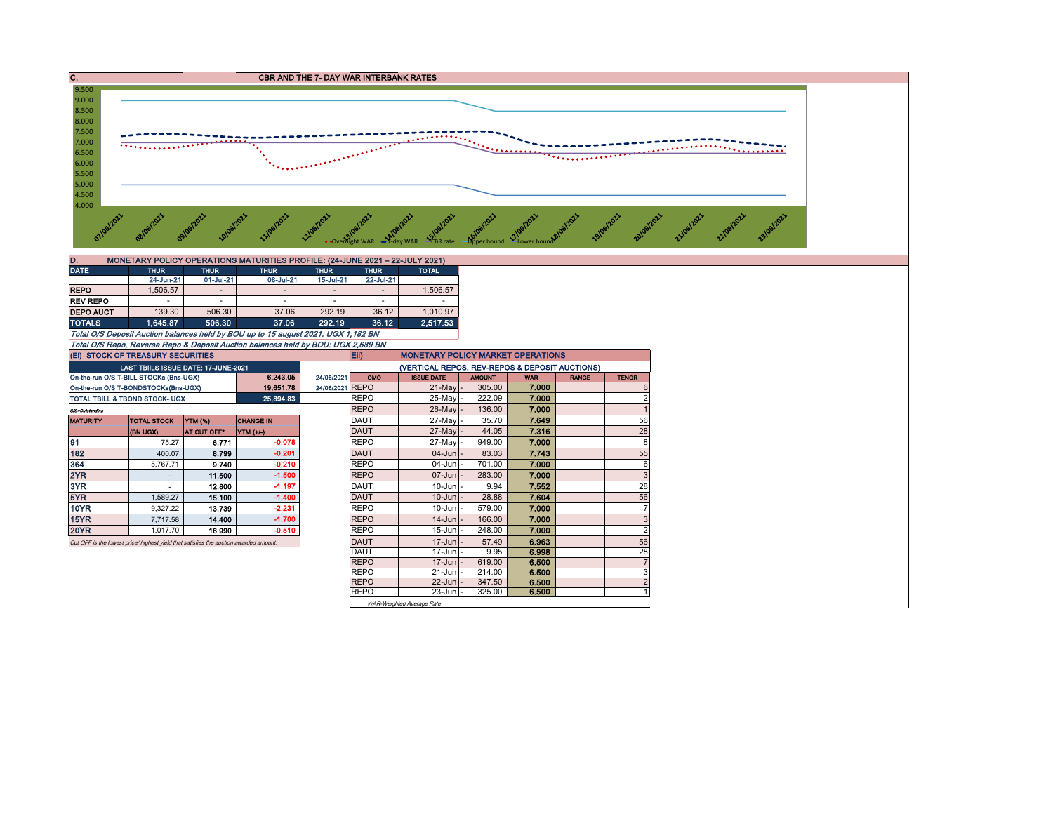

| MONETARY POLICY OPERATIONS MATURITIES PROFILE: (24-JUNE 2021 - 22-JULY 2021)<br>D. |             |                          |                          |             |                          |              |  |  |  |  |  |
|------------------------------------------------------------------------------------|-------------|--------------------------|--------------------------|-------------|--------------------------|--------------|--|--|--|--|--|
| <b>DATE</b>                                                                        | <b>THUR</b> | <b>THUR</b>              | <b>THUR</b>              | <b>THUR</b> | <b>THUR</b>              | <b>TOTAL</b> |  |  |  |  |  |
|                                                                                    | 24-Jun-21   | 01-Jul-21                | 08-Jul-21                | 15-Jul-21   | 22-Jul-21                |              |  |  |  |  |  |
| <b>REPO</b>                                                                        | 1.506.57    | $\overline{\phantom{a}}$ | $\overline{a}$           |             | $\overline{\phantom{a}}$ | 1.506.57     |  |  |  |  |  |
| <b>REV REPO</b>                                                                    | ۰           |                          | $\overline{\phantom{a}}$ | ۰           | -                        |              |  |  |  |  |  |
| <b>DEPO AUCT</b>                                                                   | 139.30      | 506.30                   | 37.06                    | 292.19      | 36.12                    | 1.010.97     |  |  |  |  |  |
| <b>TOTALS</b>                                                                      | 1.645.87    | 506.30                   | 37.06                    | 292.19      | 36.12                    | 2.517.53     |  |  |  |  |  |

Total O/S Deposit Auction balances held by BOU up to 15 august 2021: UGX 1,182 BN Total O/S Repo, Reverse Repo & Deposit Auction balances held by BOU: UGX 2,689 BN

On-the-run O/S T-BILL STOCKs (Bns-UGX) **6,243.05** 24/06/2021 OMO ISSUE DATE AMOUNT WAR RANGE TENOR On-the-run O/S T-BONDSTOCKs(Bns-UGX) | 19,651.78 24/06/2021 REPO | 21-May - 305.00 7.000 6 6 TOTAL TBILL & TBOND STOCK- UGX 25,894.83 REPO 25-May - 222.09 **7.000** 22 O/S=Outstanding REPO 26-May - 136.00 7.000 1 MATURITY TOTAL STOCK YTM (%) CHANGE IN DAUT 27-May - 35.70 7.649 56 (BN UGX) AT CUT OFF\* YTM (+/-) DAUT 27-May - 44.05 7.316 28 91 75.27 6.771 -0.078 REPO 27-May - 949.00 7.000 8 182 400.07 8.799 -0.201 DAUT 04-Jun - 83.03 7.743 55 364 | 5,767.71 | **9.740** | **-0.210 | |**REPO | 04-Jun |- 701.00 | **7.000 |** 6 2YR - 11.500 -1.500 REPO 07-Jun - 283.00 7.000 3 3YR - 12.800 -1.197 DAUT 10-Jun - 9.94 7.552 28 5YR 1,589.27 15.100 -1.400 DAUT 10-Jun - 28.88 7.604 56 10YR | 9,327.22 | 13.739 | -2.231 | |REPO | 10-Jun |- 579.00 | **7.000** | | 7 15YR 7,717.58 14.400 -1.700 REPO 14-Jun - 166.00 7.000 3 20YR 1,017.70 16.990 -0.510 REPO 15-Jun - 248.00 7.000 2 Cut OFF is the lowest price/ highest yield that satisfies the auction awarded amount.<br>
DAUT 17-Jun - 9.95 6.998 6.998 28 DAUT | 17-Jun |- 9.95 | **6.998 |** 28 REPO | 17-Jun | 619.00 | **6.500 | 7** 7 REPO | 21-Jun | 214.00 | 6.500 | 3 REPO | 22-Jun | 347.50 | 6**.500** | 2 REPO | 23-Jun - 325.00 | 6.500 | 1 Eii) MONETARY POLICY MARKET OPERATIONS LAST TBIILS ISSUE DATE: 17-JUNE-2021 (VERTICAL REPOS, REV-REPOS & DEPOSIT AUCTIONS) WAR-Weighted Average Rate (Ei) STOCK OF TREASURY SECURITIES